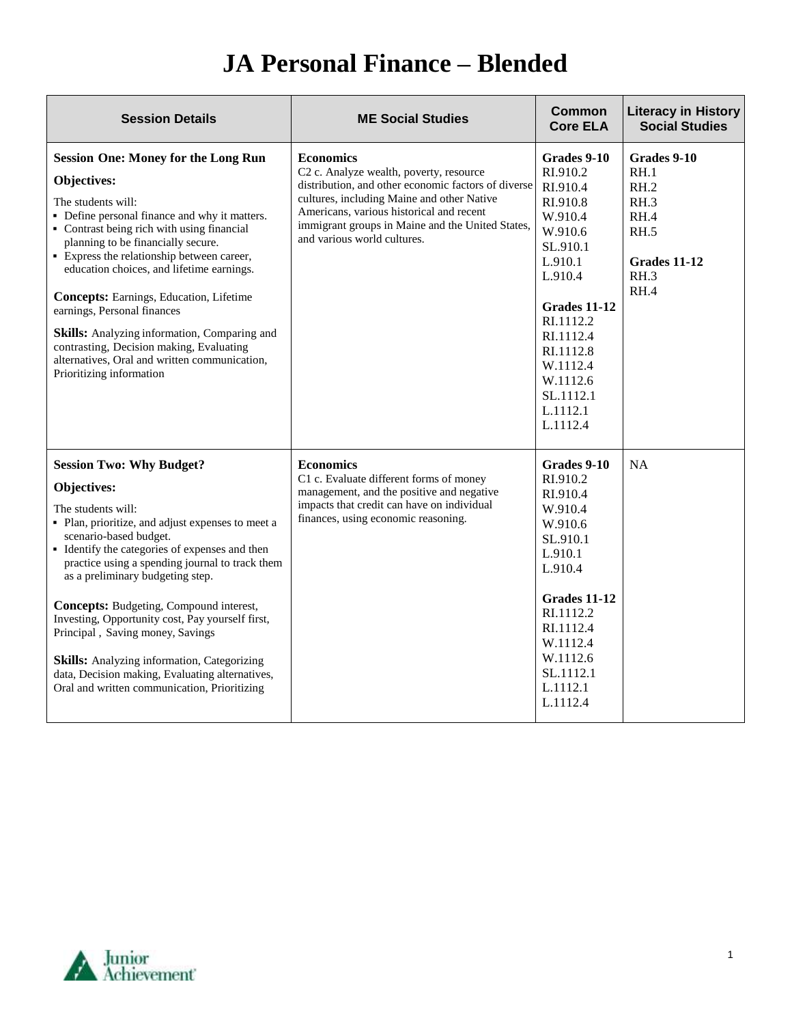| <b>Session Details</b>                                                                                                                                                                                                                                                                                                                                                                                                                                                                                                                                                                          | <b>ME Social Studies</b>                                                                                                                                                                                                                                                                        | Common<br><b>Core ELA</b>                                                                                                                                                                                                   | <b>Literacy in History</b><br><b>Social Studies</b>                                 |
|-------------------------------------------------------------------------------------------------------------------------------------------------------------------------------------------------------------------------------------------------------------------------------------------------------------------------------------------------------------------------------------------------------------------------------------------------------------------------------------------------------------------------------------------------------------------------------------------------|-------------------------------------------------------------------------------------------------------------------------------------------------------------------------------------------------------------------------------------------------------------------------------------------------|-----------------------------------------------------------------------------------------------------------------------------------------------------------------------------------------------------------------------------|-------------------------------------------------------------------------------------|
| <b>Session One: Money for the Long Run</b><br>Objectives:<br>The students will:<br>• Define personal finance and why it matters.<br>• Contrast being rich with using financial<br>planning to be financially secure.<br>• Express the relationship between career,<br>education choices, and lifetime earnings.<br>Concepts: Earnings, Education, Lifetime<br>earnings, Personal finances<br>Skills: Analyzing information, Comparing and<br>contrasting, Decision making, Evaluating<br>alternatives, Oral and written communication,<br>Prioritizing information                              | <b>Economics</b><br>C2 c. Analyze wealth, poverty, resource<br>distribution, and other economic factors of diverse<br>cultures, including Maine and other Native<br>Americans, various historical and recent<br>immigrant groups in Maine and the United States,<br>and various world cultures. | Grades 9-10<br>RI.910.2<br>RI.910.4<br>RI.910.8<br>W.910.4<br>W.910.6<br>SL.910.1<br>L.910.1<br>L.910.4<br>Grades 11-12<br>RI.1112.2<br>RI.1112.4<br>RI.1112.8<br>W.1112.4<br>W.1112.6<br>SL.1112.1<br>L.1112.1<br>L.1112.4 | Grades 9-10<br>RH.1<br>RH.2<br>RH.3<br>RH.4<br>RH.5<br>Grades 11-12<br>RH.3<br>RH.4 |
| <b>Session Two: Why Budget?</b><br>Objectives:<br>The students will:<br>• Plan, prioritize, and adjust expenses to meet a<br>scenario-based budget.<br>• Identify the categories of expenses and then<br>practice using a spending journal to track them<br>as a preliminary budgeting step.<br><b>Concepts:</b> Budgeting, Compound interest,<br>Investing, Opportunity cost, Pay yourself first,<br>Principal, Saving money, Savings<br><b>Skills:</b> Analyzing information, Categorizing<br>data, Decision making, Evaluating alternatives,<br>Oral and written communication, Prioritizing | <b>Economics</b><br>C1 c. Evaluate different forms of money<br>management, and the positive and negative<br>impacts that credit can have on individual<br>finances, using economic reasoning.                                                                                                   | Grades 9-10<br>RI.910.2<br>RI.910.4<br>W.910.4<br>W.910.6<br>SL.910.1<br>L.910.1<br>L.910.4<br><b>Grades 11-12</b><br>RI.1112.2<br>RI.1112.4<br>W.1112.4<br>W.1112.6<br>SL.1112.1<br>L.1112.1<br>L.1112.4                   | <b>NA</b>                                                                           |

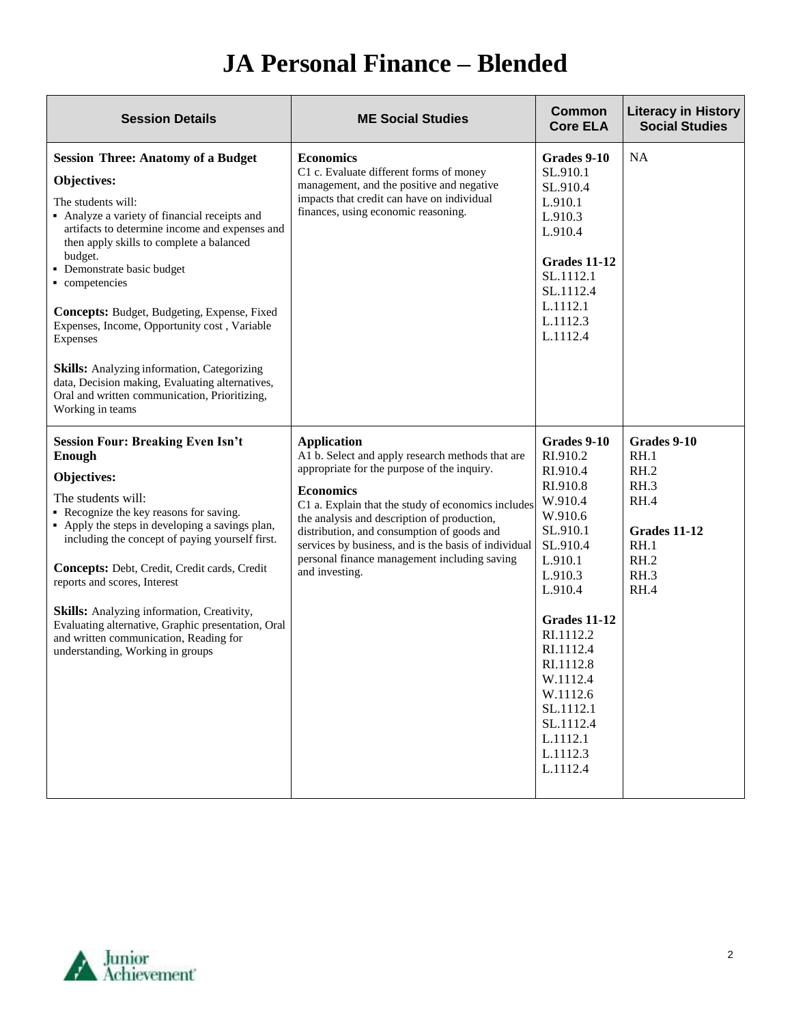| <b>Session Details</b>                                                                                                                                                                                                                                                                                                                                                                                                                                                                                                                                                          | <b>ME Social Studies</b>                                                                                                                                                                                                                                                                                                                                                                                               | <b>Common</b><br><b>Core ELA</b>                                                                                                                                                                                                                                                   | <b>Literacy in History</b><br><b>Social Studies</b>                                         |
|---------------------------------------------------------------------------------------------------------------------------------------------------------------------------------------------------------------------------------------------------------------------------------------------------------------------------------------------------------------------------------------------------------------------------------------------------------------------------------------------------------------------------------------------------------------------------------|------------------------------------------------------------------------------------------------------------------------------------------------------------------------------------------------------------------------------------------------------------------------------------------------------------------------------------------------------------------------------------------------------------------------|------------------------------------------------------------------------------------------------------------------------------------------------------------------------------------------------------------------------------------------------------------------------------------|---------------------------------------------------------------------------------------------|
| <b>Session Three: Anatomy of a Budget</b><br>Objectives:<br>The students will:<br>• Analyze a variety of financial receipts and<br>artifacts to determine income and expenses and<br>then apply skills to complete a balanced<br>budget.<br>· Demonstrate basic budget<br>competencies<br>Concepts: Budget, Budgeting, Expense, Fixed<br>Expenses, Income, Opportunity cost, Variable<br>Expenses<br><b>Skills:</b> Analyzing information, Categorizing<br>data, Decision making, Evaluating alternatives,<br>Oral and written communication, Prioritizing,<br>Working in teams | <b>Economics</b><br>C1 c. Evaluate different forms of money<br>management, and the positive and negative<br>impacts that credit can have on individual<br>finances, using economic reasoning.                                                                                                                                                                                                                          | Grades 9-10<br>SL.910.1<br>SL.910.4<br>L.910.1<br>L.910.3<br>L.910.4<br><b>Grades 11-12</b><br>SL.1112.1<br>SL.1112.4<br>L.1112.1<br>L.1112.3<br>L.1112.4                                                                                                                          | <b>NA</b>                                                                                   |
| <b>Session Four: Breaking Even Isn't</b><br><b>Enough</b><br>Objectives:<br>The students will:<br>• Recognize the key reasons for saving.<br>• Apply the steps in developing a savings plan,<br>including the concept of paying yourself first.<br>Concepts: Debt, Credit, Credit cards, Credit<br>reports and scores, Interest<br><b>Skills:</b> Analyzing information, Creativity,<br>Evaluating alternative, Graphic presentation, Oral<br>and written communication, Reading for<br>understanding, Working in groups                                                        | <b>Application</b><br>A1 b. Select and apply research methods that are<br>appropriate for the purpose of the inquiry.<br><b>Economics</b><br>C1 a. Explain that the study of economics includes<br>the analysis and description of production,<br>distribution, and consumption of goods and<br>services by business, and is the basis of individual<br>personal finance management including saving<br>and investing. | Grades 9-10<br>RI.910.2<br>RI.910.4<br>RI.910.8<br>W.910.4<br>W.910.6<br>SL.910.1<br>SL.910.4<br>L.910.1<br>L.910.3<br>L.910.4<br><b>Grades 11-12</b><br>RI.1112.2<br>RI.1112.4<br>RI.1112.8<br>W.1112.4<br>W.1112.6<br>SL.1112.1<br>SL.1112.4<br>L.1112.1<br>L.1112.3<br>L.1112.4 | Grades 9-10<br>RH.1<br>RH.2<br>RH.3<br>RH.4<br>Grades 11-12<br>RH.1<br>RH.2<br>RH.3<br>RH.4 |

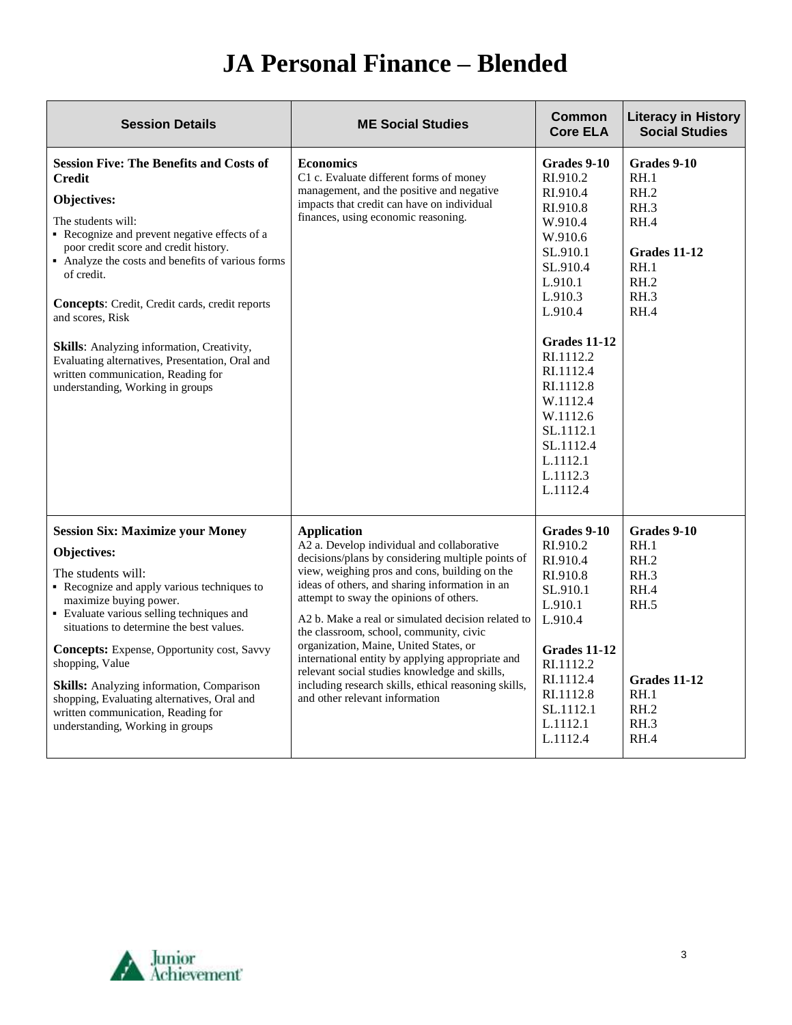| <b>Session Details</b>                                                                                                                                                                                                                                                                                                                                                                                                                                                                                                    | <b>ME Social Studies</b>                                                                                                                                                                                                                                                                                                                                                                                                                                                                                                                                                                                      | <b>Common</b><br><b>Core ELA</b>                                                                                                                                                                                                                                            | <b>Literacy in History</b><br><b>Social Studies</b>                                                 |
|---------------------------------------------------------------------------------------------------------------------------------------------------------------------------------------------------------------------------------------------------------------------------------------------------------------------------------------------------------------------------------------------------------------------------------------------------------------------------------------------------------------------------|---------------------------------------------------------------------------------------------------------------------------------------------------------------------------------------------------------------------------------------------------------------------------------------------------------------------------------------------------------------------------------------------------------------------------------------------------------------------------------------------------------------------------------------------------------------------------------------------------------------|-----------------------------------------------------------------------------------------------------------------------------------------------------------------------------------------------------------------------------------------------------------------------------|-----------------------------------------------------------------------------------------------------|
| <b>Session Five: The Benefits and Costs of</b><br><b>Credit</b><br>Objectives:<br>The students will:<br>• Recognize and prevent negative effects of a<br>poor credit score and credit history.<br>• Analyze the costs and benefits of various forms<br>of credit.<br><b>Concepts:</b> Credit, Credit cards, credit reports<br>and scores, Risk<br>Skills: Analyzing information, Creativity,<br>Evaluating alternatives, Presentation, Oral and<br>written communication, Reading for<br>understanding, Working in groups | <b>Economics</b><br>C1 c. Evaluate different forms of money<br>management, and the positive and negative<br>impacts that credit can have on individual<br>finances, using economic reasoning.                                                                                                                                                                                                                                                                                                                                                                                                                 | Grades 9-10<br>RI.910.2<br>RI.910.4<br>RI.910.8<br>W.910.4<br>W.910.6<br>SL.910.1<br>SL.910.4<br>L.910.1<br>L.910.3<br>L.910.4<br>Grades 11-12<br>RI.1112.2<br>RI.1112.4<br>RI.1112.8<br>W.1112.4<br>W.1112.6<br>SL.1112.1<br>SL.1112.4<br>L.1112.1<br>L.1112.3<br>L.1112.4 | Grades 9-10<br>RH.1<br>RH.2<br>RH.3<br>RH.4<br>Grades 11-12<br>RH.1<br>RH.2<br>RH.3<br>RH.4         |
| <b>Session Six: Maximize your Money</b><br>Objectives:<br>The students will:<br>• Recognize and apply various techniques to<br>maximize buying power.<br>• Evaluate various selling techniques and<br>situations to determine the best values.<br>Concepts: Expense, Opportunity cost, Savvy<br>shopping, Value<br><b>Skills:</b> Analyzing information, Comparison<br>shopping, Evaluating alternatives, Oral and<br>written communication, Reading for<br>understanding, Working in groups                              | <b>Application</b><br>A2 a. Develop individual and collaborative<br>decisions/plans by considering multiple points of<br>view, weighing pros and cons, building on the<br>ideas of others, and sharing information in an<br>attempt to sway the opinions of others.<br>A2 b. Make a real or simulated decision related to<br>the classroom, school, community, civic<br>organization, Maine, United States, or<br>international entity by applying appropriate and<br>relevant social studies knowledge and skills,<br>including research skills, ethical reasoning skills,<br>and other relevant information | Grades 9-10<br>RI.910.2<br>RI.910.4<br>RI.910.8<br>SL.910.1<br>L.910.1<br>L.910.4<br><b>Grades 11-12</b><br>RI.1112.2<br>RI.1112.4<br>RI.1112.8<br>SL.1112.1<br>L.1112.1<br>L.1112.4                                                                                        | Grades 9-10<br>RH.1<br>RH.2<br>RH.3<br>RH.4<br>RH.5<br>Grades 11-12<br>RH.1<br>RH.2<br>RH.3<br>RH.4 |